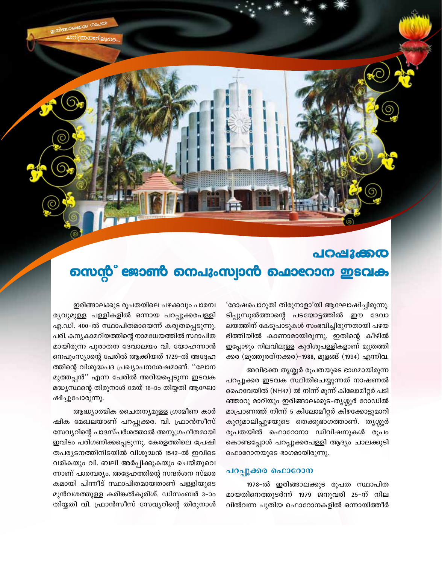# പറപ്പൂക്കര നെന്റ് ജോൺ നെപുംസ്വാൻ ഫൊറോന ഇടവക

'ദോഷപൊറുതി തിരുനാളാ'യി ആഘോഷിച്ചിരുന്നു. ടിപ്പുസുൽത്താന്റെ പടയോട്ടത്തിൽ ഈ ദേവാ ലയത്തിന് കേടുപാടുകൾ സംഭവിച്ചിരുന്നതായി പഴയ ഭിത്തിയിൽ കാണാമായിരുന്നു. ഇതിന്റെ കീഴിൽ ഇപ്പോഴും നിലവിലുള്ള കുരിശുപള്ളികളാണ് മുത്രത്തി ക്കര (മുത്തുരത്നക്കര)-1988, മുളങ്ങ് (1994) എന്നിവ.

അവിഭക്ത തൃശ്ശൂർ രൂപതയുടെ ഭാഗമായിരുന്ന പറപ്പുക്കര ഇടവക സ്ഥിതിചെയ്യുന്നത് നാഷണൽ ഹൈവേയിൽ (NH47) ൽ നിന്ന് മൂന്ന് കിലോമീറ്റർ പടി ഞ്ഞാറു മാറിയും ഇരിങ്ങാലക്കുട–തൃശ്ശൂർ റോഡിൽ മാപ്രാണത്ത് നിന്ന് 5 കിലോമീറ്റർ കിഴക്കോട്ടുമാറി കുറുമാലിപ്പുഴയുടെ തെക്കുഭാഗത്താണ്. തൃശ്ശൂർ രൂപതയിൽ ഫൊറോനാ ഡിവിഷനുകൾ രൂപം കൊണ്ടപ്പോൾ പറപ്പൂക്കരപള്ളി ആദ്യം ചാലക്കുടി ഫൊറോനയുടെ ഭാഗമായിരുന്നു.

#### പറപ്പൂക്കര ഫൊറോന

1978-ൽ ഇരിങ്ങാലക്കുട രൂപത സ്ഥാപിത മായതിനെത്തുടർന്ന് 1979 ജനുവരി 25–ന് നില വിൽവന്ന പുതിയ ഫൊറോനകളിൽ ഒന്നായിത്തീർ

ഇരിങ്ങാലക്കുട രൂപതയിലെ പഴക്കവും പാരമ്പ ര്യവുമുള്ള പള്ളികളിൽ ഒന്നായ പറപ്പൂക്കരപള്ളി എ.ഡി. 400-ൽ സ്ഥാപിതമായെന്ന് കരുതപ്പെടുന്നു. പരി. കന്യകാമറിയത്തിന്റെ നാമധേയത്തിൽ സ്ഥാപിത മായിരുന്ന പുരാതന ദേവാലയം വി. യോഹന്നാൻ നെപുംസ്യാന്റെ പേരിൽ ആക്കിയത് 1729–ൽ അദ്ദേഹ ത്തിന്റെ വിശുദ്ധപദ പ്രഖ്യാപനശേഷമാണ്. ''ലോന മുത്തപ്പൻ'' എന്ന പേരിൽ അറിയപ്പെടുന്ന ഇടവക മദ്ധ്യസ്ഥന്റെ തിരുനാൾ മേയ് 16–ാം തിയ്യതി ആഘോ ഷിച്ചുപോരുന്നു.

ആദ്ധ്യാത്മിക ചൈതന്യമുള്ള ഗ്രാമീണ കാർ ഷിക മേഖലയാണ് പറപ്പൂക്കര. വി. ഫ്രാൻസീസ് സേവ്യറിന്റെ പാദസ്പർശത്താൽ അനുഗ്രഹീതമായി ഇവിടം പരിഗണിക്കപ്പെടുന്നു. കേരളത്തിലെ പ്രേഷി തപര്യടനത്തിനിടയിൽ വിശുദ്ധൻ 1542-ൽ ഇവിടെ വരികയും വി. ബലി അർപ്പിക്കുകയും ചെയ്തുവെ ന്നാണ് പാരമ്പര്യം. അദ്ദേഹത്തിന്റെ സന്ദർശന സ്മാര കമായി പിന്നീട് സ്ഥാപിതമായതാണ് പള്ളിയുടെ മുൻവശത്തുള്ള കരിങ്കൽകുരിശ്. ഡിസംബർ 3–ാം തിയ്യതി വി. ഫ്രാൻസീസ് സേവ്യറിന്റെ തിരുനാൾ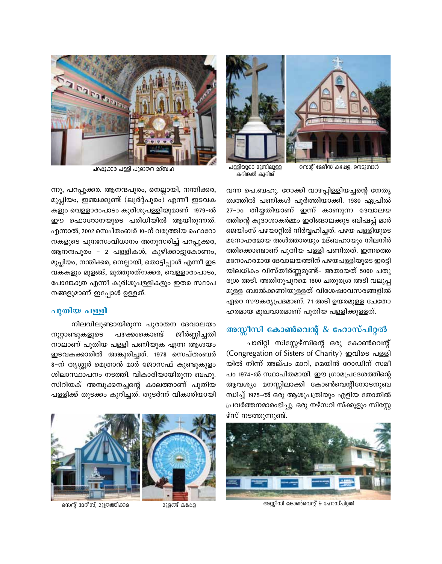

കരിങ്കൽ കുരിശ് സെന്റ് മേരിസ് കപ്പേള, നെടുമ്പാൾ



പറപ്പൂക്കര പള്ളി പുരാതന മദ്ബഹ

വന്ന പെ.ബഹു. റോക്കി വാഴപ്പിള്ളിയച്ചന്റെ നേതൃ ത്വത്തിൽ പണികൾ പൂർത്തിയാക്കി. 1980 ഏപ്രിൽ 27−ാം തിയ്യതിയാണ് ഇന്ന് കാണുന്ന ദേവാലയ ത്തിന്റെ കൂദാശാകർമ്മം ഇരിങ്ങാലക്കുട ബിഷപ്പ് മാർ ജെയിംസ് പഴയാറ്റിൽ നിർവ്വഹിച്ചത്. പഴയ പള്ളിയുടെ മനോഹരമായ അൾത്താരയും മദ്ബഹായും നിലനിർ ത്തിക്കൊണ്ടാണ് പുതിയ പള്ളി പണിതത്. ഇന്നത്ത<u>െ</u> മനോഹരമായ ദേവാലയത്തിന് പഴയപള്ളിയുടെ ഇരട്ടി യിലധികം വിസ്തീർണ്ണമുണ്ട്- അതായത് 5000 ചതു രശ്ര അടി. അതിനുപുറമെ 1600 ചതുരശ്ര അടി വലുപ്പ മുള്ള ബാൽക്കണിയുള്ളത് വിശേഷാവസരങ്ങളിൽ ഏറെ സൗകര്യപ്രദമാണ്. 71 അടി ഉയരമുള്ള ചേതോ ഹരമായ മുഖവാരമാണ് പുതിയ പള്ളിക്കുള്ളത്.

### **അസ്സീസി കോൺവെന്റ് & ഹോസ്പിറ്റൽ**

ചാരിറ്റി സിസ്റ്റേഴ്സിന്റെ ഒരു കോൺവെന്റ് (Congregation of Sisters of Charity) ഇവിടെ പള്ളി യിൽ നിന്ന് അല്പം മാറി, മെയിൻ റോഡിന് സമീ പം 1974-ൽ സ്ഥാപിതമായി. ഈ ഗ്രാമപ്രദേശത്തിന്റെ ആവശ്യം മനസ്സിലാക്കി കോൺവെന്റിനോടനുബ സിച്ച് 1975-ൽ ഒരു ആശുപത്രിയും എളിയ തോതിൽ (പവർത്തനമാരംഭിച്ചു. ഒരു നഴ്സറി സ്ക്കൂളും സിസ്റ്റേ ഴ്സ് നടത്തുന്നുണ്ട്.



. സെന്റ് മേരിസ്, മുത്രത്തിക്കര സാമ്യമുള്ളത് കഷേള സാമ്പ് വേണ്ടിന്റെ അസ്സിസി കോൺവെന്റ് 6 ഹോസ്പിറ്റൽ

 $\langle m \rangle$ , പറപ്പൂക്കര. ആനന്ദപുരം, നെല്ലായി, നന്തിക്കര, മുപ്ലിയം, ഇഞ്ചക്കുണ്ട് (ലൂർദ്ദ്പുരം) എന്നീ ഇടവക കളും വെള്ളാരംപാടം കുരിശുപള്ളിയുമാണ് 1979-ൽ ഈ ഫൊറോനയുടെ പരിധിയിൽ ആയിരുന്നത്. എന്നാൽ, 2002 സെപ്തംബർ 10−ന് വരുത്തിയ ഫൊറോ  $\pi$ കളുടെ പുനഃസംവിധാനം അനുസരിച്ച് പറപ്പൂക്കര, ആനന്ദപുരം - 2 പള്ളികൾ, കുഴിക്കാട്ടുകോണം, മുപ്ലിയം, നന്തിക്കര, നെല്ലായി, തൊട്ടിപ്പാൾ എന്നീ ഇട വകകളും മുളങ്ങ്, മുത്തുരത്നക്കര, വെള്ളാരംപാടം, പോങ്കോത്ര എന്നീ കുരിശുപള്ളികളും ഇതര സ്ഥാപ നങ്ങളുമാണ് ഇപ്പോൾ ഉള്ളത്.

#### **പുതിയ** പള്ളി

 $\Omega$ നിലവിലുണ്ടായിരുന്ന പുരാതന ദേവാലയം `നൂറ്റാണ്ടുകളുടെ പഴക്കംകൊണ്ട് ജീർണ്ണിച്ചതി നാലാണ് പുതിയ പള്ളി പണിയുക എന്ന ആശയം ഇടവകക്കാരിൽ അങ്കുരിച്ചത്. 1978 സെപ്തംബർ 8-ന് തൃശ്ശൂർ മെത്രാൻ മാർ ജോസഫ് കുണ്ടുകുളം ശിലാസ്ഥാപനം നടത്തി. വികാരിയായിരുന്ന ബഹു. സിറിയക് അമ്പുക്കനച്ചന്റെ കാലത്താണ് പുതിയ പള്ളിക്ക് തുടക്കം കുറിച്ചത്. തുടർന്ന് വികാരിയായി